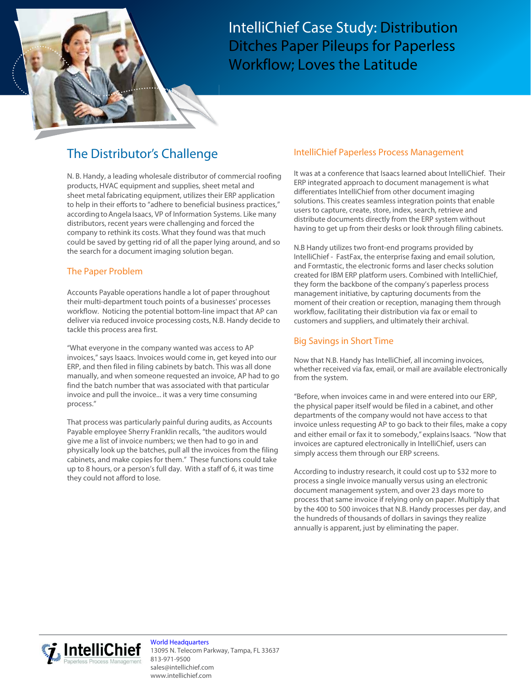IntelliChief Case Study: Distribution Ditches Paper Pileups for Paperless Workflow; Loves the Latitude

# The Distributor's Challenge

N. B. Handy, a leading wholesale distributor of commercial roofing products, HVAC equipment and supplies, sheet metal and sheet metal fabricating equipment, utilizes their ERP application to help in their efforts to "adhere to beneficial business practices," according to Angela Isaacs, VP of Information Systems. Like many distributors, recent years were challenging and forced the company to rethink its costs. What they found was that much could be saved by getting rid of all the paper lying around, and so the search for a document imaging solution began.

# The Paper Problem

Accounts Payable operations handle a lot of paper throughout their multi-department touch points of a businesses' processes workflow. Noticing the potential bottom-line impact that AP can deliver via reduced invoice processing costs, N.B. Handy decide to tackle this process area first.

"What everyone in the company wanted was access to AP invoices," says Isaacs. Invoices would come in, get keyed into our ERP, and then filed in filing cabinets by batch. This was all done manually, and when someone requested an invoice, AP had to go find the batch number that was associated with that particular invoice and pull the invoice... it was a very time consuming process."

That process was particularly painful during audits, as Accounts Payable employee Sherry Franklin recalls, "the auditors would give me a list of invoice numbers; we then had to go in and physically look up the batches, pull all the invoices from the filing cabinets, and make copies for them." These functions could take up to 8 hours, or a person's full day. With a staff of 6, it was time they could not afford to lose.

## IntelliChief Paperless Process Management

It was at a conference that Isaacs learned about IntelliChief. Their ERP integrated approach to document management is what differentiates IntelliChief from other document imaging solutions. This creates seamless integration points that enable users to capture, create, store, index, search, retrieve and distribute documents directly from the ERP system without having to get up from their desks or look through filing cabinets.

N.B Handy utilizes two front-end programs provided by IntelliChief - FastFax, the enterprise faxing and email solution, and Formtastic, the electronic forms and laser checks solution created for IBM ERP platform users. Combined with IntelliChief, they form the backbone of the company's paperless process management initiative, by capturing documents from the moment of their creation or reception, managing them through workflow, facilitating their distribution via fax or email to customers and suppliers, and ultimately their archival.

# Big Savings in Short Time

Now that N.B. Handy has IntelliChief, all incoming invoices, whether received via fax, email, or mail are available electronically from the system.

"Before, when invoices came in and were entered into our ERP, the physical paper itself would be filed in a cabinet, and other departments of the company would not have access to that invoice unless requesting AP to go back to their files, make a copy and either email or fax it to somebody," explains Isaacs. "Now that invoices are captured electronically in IntelliChief, users can simply access them through our ERP screens.

According to industry research, it could cost up to \$32 more to process a single invoice manually versus using an electronic document management system, and over 23 days more to process that same invoice if relying only on paper. Multiply that by the 400 to 500 invoices that N.B. Handy processes per day, and the hundreds of thousands of dollars in savings they realize annually is apparent, just by eliminating the paper.



World Headquarters 13095 N. Telecom Parkway, Tampa, FL 33637 813-971-9500 sales@intellichief.com www.intellichief.com